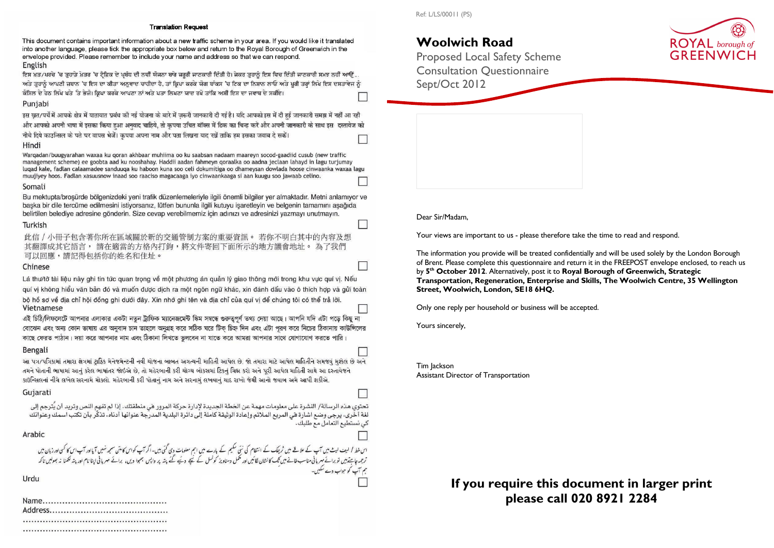#### **Translation Request**

This document contains important information about a new traffic scheme in your area. If you would like it translated into another language, please tick the appropriate box below and return to the Royal Borough of Greenwich in the envelope provided. Please remember to include your name and address so that we can respond. English

ਇਸ ਖ਼ਤ/ਪਰਚੇ 'ਚ ਤੁਹਾਡੇ ਖ਼ੇਤਰ 'ਚ ਟੈਫ਼ਿਕ ਦੇ ਪਬੱਧ ਦੀ ਨਵੀਂ ਯੋਜਨਾ ਬਾਰੇ ਜ਼ਰੂਰੀ ਜਾਣਕਾਰੀ ਦਿੱਤੀ ਹੈ। ਜੇਕਰ ਤੁਹਾਨੂੰ ਇਸ ਵਿਚ ਦਿੱਤੀ ਜਾਣਕਾਰੀ ਸਮਝ ਨਹੀਂ ਆਉਂ ਅਤੇ ਤੁਹਾਨੂੰ ਆਪਣੀ ਜ਼ਬਾਨ 'ਚ ਇਸ ਦਾ ਕੀਤਾ ਅਨੁਵਾਦ ਚਾਹੀਦਾ ਹੈ. ਤਾਂ ਕਿਪਾ ਕਰਕੇ ਯੋਗ ਬਾੱਕਸ 'ਚ ਟਿਕ ਦਾ ਨਿਸ਼ਾਨ ਲਾਓ ਅਤੇ ਪੂਰੀ ਤਰਾਂ ਲਿਖੇ ਇਸ ਦਸਤਾਵੇਜ ਨੂੰ ਕੌਂਸਿਲ ਦੇ ਹੇਠ ਲਿਖੇ ਪਤੇ `ਤੇ ਭੇਜੋ। ਕਿਪਾ ਕਰਕੇ ਆਪਣਾ ਨਾਂ ਅਤੇ ਪਤਾ ਲਿਖਣਾ ਯਾਦ ਰਖੋ ਤਾਂਕਿ ਅਸੀਂ ਇਸ ਦਾ ਜਵਾਬ ਦੇ ਸਕੀਏ।

#### Punjabi

इस खत/पर्चे में आपके क्षेत्र में यातायात प्रबंध की नई योजना के बारे में जरूरी जानकारी दी गई है। यदि आपको इस में दी हई जानकारी समझ में नहीं आ रही और आपको अपनी भाषा में इसका किया हआ अनवाद चाहिये, तो कृपया उचित बॉक्स में टिक का चिन्ह करें और अपनी जानकारी के साथ इस दस्तावेज को नीचे दिये काउन्सिल के पते पर वापस भेजें। कपया अपना नाम और पता लिखना याद रखें ताकि हम इसका जवाब दे सकें।

#### Hindi

Warqadan/buugyarahan waxaa ku qoran akhbaar muhiima oo ku saabsan nadaam maareyn socod-gaadiid cusub (new traffic management scheme) ee goobta aad ku nooshahay. Haddii aadan fahmeyn qoraalka oo aadna jeclaan lahayd in lagu turjumay lugad kale, fadlan calaamadee sanduuga ku haboon kuna soo celi dokumitiga oo dhameysan dowlada hoose cinwaanka waxaa lagu muujiyey hoos. Fadlan xasuusnow inaad soo raaciso magacaaga iyo cinwaankaaga si aan kuugu soo jawaab celino.

#### Somali

## Woolwich Road

Bu mektupta/brosürde bölgenizdeki yeni trafik düzenlemeleriyle ilgili önemli bilgiler yer almaktadır. Metni anlamıyor ye başka bir dile tercüme edilmesini istiyorsanız, lütfen bununla ilgili kutuyu işaretleyin ve belgenin tamamını aşağıda belirtilen belediye adresine gönderin. Size cevap verebilmemiz için adınızı ve adresinizi yazmayı unutmayın.

## Turkish

此信 / 小冊子包含著你所在區域關於新的交通管制方案的重要資訊。 若你不明白其中的內容及想 其翻譯成其它語言, 請在適當的方格內打鉤,將文件寄回下面所示的地方議會地址。為了我們 可以回應,請記得包括你的姓名和住址。

### Chinese

Lá thư/tờ tài liệu này ghi tin tức quan trọng về một phương án quản lý giao thông mới trong khu vực quí vị. Nếu quí vị không hiểu văn bản đó và muốn được dịch ra một ngôn ngữ khác, xin đánh dấu vào ô thích hợp và gửi toàn bộ hổ sơ về địa chỉ hội đồng ghi dưới đây. Xin nhớ ghi tên và địa chỉ của quí vị để chúng tôi có thể trả lời. Vietnamese

এই চিঠি/লিফলেটে আপনার এলাকার একটা নতুন ট্রাফিক ম্যানেজমেন্ট স্কিম সম্বন্ধে গুরুতুপূর্ণ তথ্য দেয়া আছে। আপনি যদি এটা পড়ে কিছু না বোঝেন এবং অন্য কোন ভাষায় এর অনুবাদ চান তাহলে অনুগ্রহ করে সঠিক ঘরে টিক চিহ্ন দিন এবং এটা পুরণ করে নিচের ঠিকানায় কাউন্সিলের কাছে ফেরত পাঠান। দয়া করে আপনার নাম এবং ঠিকানা লিখতে ভুলবেন না যাতে করে আমরা আপনার সাথে যোগাযোগ করতে পারি।

## Bengali

આ પત્ર/પત્રિકામાં તમારા ક્ષેત્રમાં ટાકિક મેનેજમેન્ટની નવી ચોજના બાબત અગત્ચની માહિતી આપેલ છે. જો તમારા માટે આપેલ માહિતીને સમજવં મશ્કેલ છે અને તમને પોતાની ભાષામાં આનં કરેલ ભાષાંતર જોઇએ છે. તો મહેરબાની કરી ચોગ્ચ બોકસમાં ટિકન ચિહ્ન કરો અને પરી આપેલ માહિતી સાથે આ દસ્તાવેજને કાઉન્સિલનાં નીચે લખેલ સરનામે મોકલો. મહેરબાની કરી પોતાનું નામ અને સરનામું લખવાનું થાદ રાખો જેથી આનો જવાબ અમે આપી શકીએ.

## Gujarati

تحتوي هذه الرسالة/ النشرة على معلومات مهمة عن الخطة الجديدة لإدارة حركة المرور في منطقتك. إذا لم تفهم النص وتريد أن يُترجم إلى لغة أخَّري، يرجى وضع اشارة في المربع الملائم وإعادة الوثيقة كاملة إلى دائرة البلدية المدرّجة عنوانها أدناه. تذكّر بأن تكتب اسمك وعنوانك كي نستطيع التعامل مع طلبك.

## Arabic

اس خط / لیف لیٹ میں آپ کے علاقے میں ٹریفک کے انتظام کی نئی سکیم کے بارے میں اہم معلومات دی گئی ہیں۔ارکاس اور ا<br>ترجمہ جاہتے ہیں تو برانے میر ہانی مناسب خانے میں گئی اور سلمل دستاویز کونسل کے نیچے کئے جنہ پر دستر پر ہیں تکہ ہم آپ کو جواب دے سکیں۔

Urdu

 Proposed Local Safety Scheme Consultation Questionnaire Sept/Oct 2012

Dear Sir/Madam,

Your views are important to us - please therefore take the time to read and respond.

The information you provide will be treated confidentially and will be used solely by the London Borough of Brent. Please complete this questionnaire and return it in the FREEPOST envelope enclosed, to reach us by 5<sup>th</sup> October 2012. Alternatively, post it to Royal Borough of Greenwich, Strategic Transportation, Regeneration, Enterprise and Skills, The Woolwich Centre, 35 Wellington Street, Woolwich, London, SE18 6HQ.

Only one reply per household or business will be accepted.

Yours sincerely,

П

Tim Jackson Assistant Director of Transportation

## If you require this document in larger print please call 020 8921 2284